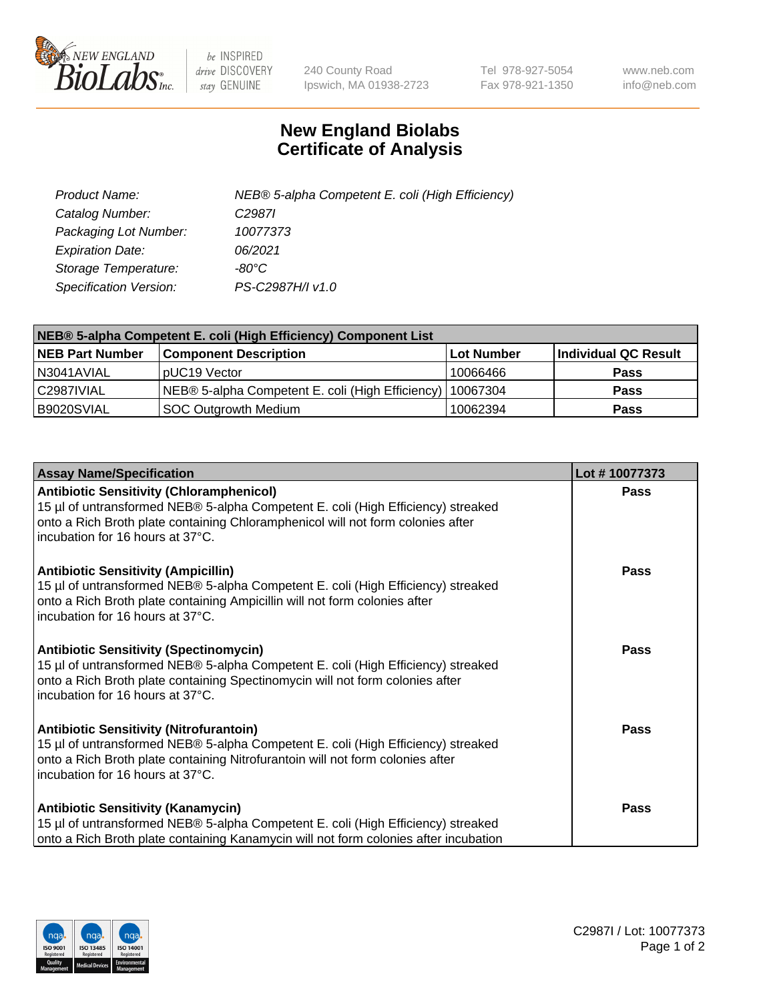

 $be$  INSPIRED drive DISCOVERY stay GENUINE

240 County Road Ipswich, MA 01938-2723 Tel 978-927-5054 Fax 978-921-1350 www.neb.com info@neb.com

## **New England Biolabs Certificate of Analysis**

| Product Name:           | NEB® 5-alpha Competent E. coli (High Efficiency) |
|-------------------------|--------------------------------------------------|
| Catalog Number:         | C <sub>2987</sub>                                |
| Packaging Lot Number:   | 10077373                                         |
| <b>Expiration Date:</b> | 06/2021                                          |
| Storage Temperature:    | -80°C                                            |
| Specification Version:  | PS-C2987H/I v1.0                                 |

| NEB® 5-alpha Competent E. coli (High Efficiency) Component List |                                                             |            |                      |  |
|-----------------------------------------------------------------|-------------------------------------------------------------|------------|----------------------|--|
| <b>NEB Part Number</b>                                          | <b>Component Description</b>                                | Lot Number | Individual QC Result |  |
| N3041AVIAL                                                      | pUC19 Vector                                                | 10066466   | <b>Pass</b>          |  |
| C2987IVIAL                                                      | NEB® 5-alpha Competent E. coli (High Efficiency)   10067304 |            | <b>Pass</b>          |  |
| B9020SVIAL                                                      | <b>SOC Outgrowth Medium</b>                                 | 10062394   | <b>Pass</b>          |  |

| <b>Assay Name/Specification</b>                                                                                                                                                                                                                            | Lot #10077373 |
|------------------------------------------------------------------------------------------------------------------------------------------------------------------------------------------------------------------------------------------------------------|---------------|
| <b>Antibiotic Sensitivity (Chloramphenicol)</b><br>15 µl of untransformed NEB® 5-alpha Competent E. coli (High Efficiency) streaked<br>onto a Rich Broth plate containing Chloramphenicol will not form colonies after<br>incubation for 16 hours at 37°C. | <b>Pass</b>   |
| <b>Antibiotic Sensitivity (Ampicillin)</b><br>15 µl of untransformed NEB® 5-alpha Competent E. coli (High Efficiency) streaked<br>onto a Rich Broth plate containing Ampicillin will not form colonies after<br>incubation for 16 hours at 37°C.           | Pass          |
| <b>Antibiotic Sensitivity (Spectinomycin)</b><br>15 µl of untransformed NEB® 5-alpha Competent E. coli (High Efficiency) streaked<br>onto a Rich Broth plate containing Spectinomycin will not form colonies after<br>incubation for 16 hours at 37°C.     | Pass          |
| <b>Antibiotic Sensitivity (Nitrofurantoin)</b><br>15 µl of untransformed NEB® 5-alpha Competent E. coli (High Efficiency) streaked<br>onto a Rich Broth plate containing Nitrofurantoin will not form colonies after<br>incubation for 16 hours at 37°C.   | <b>Pass</b>   |
| <b>Antibiotic Sensitivity (Kanamycin)</b><br>15 µl of untransformed NEB® 5-alpha Competent E. coli (High Efficiency) streaked<br>onto a Rich Broth plate containing Kanamycin will not form colonies after incubation                                      | Pass          |